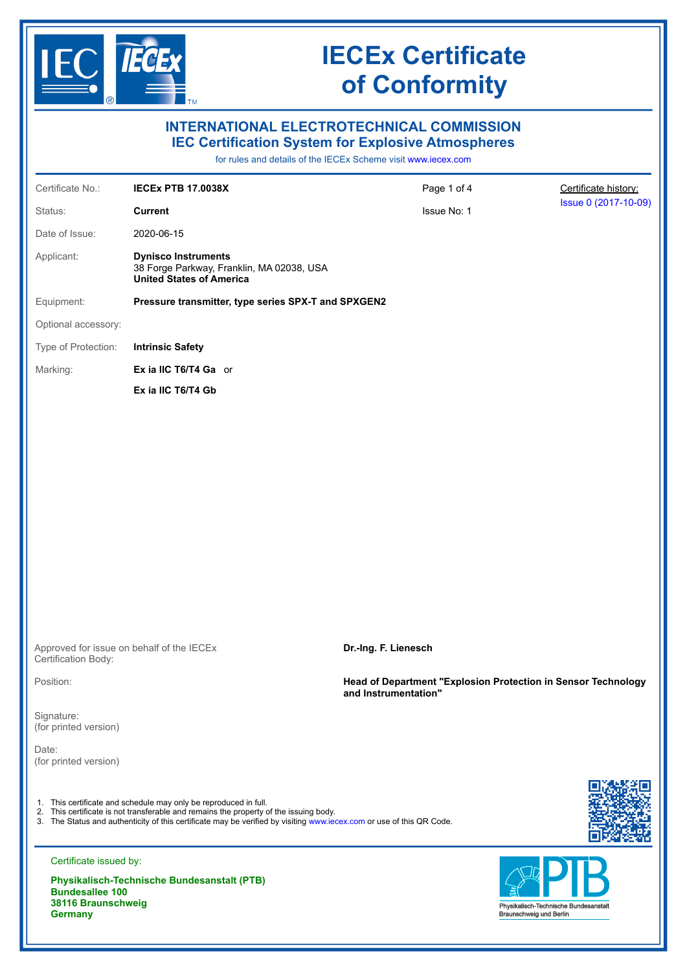

# **IECEx Certificate of Conformity**

| $\circledR$                                                                                                                                                                    | $\blacksquare$ TM                                                                                                                                                                                                                                                                 |                                                                                       |                      |  |
|--------------------------------------------------------------------------------------------------------------------------------------------------------------------------------|-----------------------------------------------------------------------------------------------------------------------------------------------------------------------------------------------------------------------------------------------------------------------------------|---------------------------------------------------------------------------------------|----------------------|--|
| <b>INTERNATIONAL ELECTROTECHNICAL COMMISSION</b><br><b>IEC Certification System for Explosive Atmospheres</b><br>for rules and details of the IECEx Scheme visit www.iecex.com |                                                                                                                                                                                                                                                                                   |                                                                                       |                      |  |
| Certificate No.:                                                                                                                                                               | <b>IECEX PTB 17.0038X</b>                                                                                                                                                                                                                                                         | Page 1 of 4                                                                           | Certificate history: |  |
| Status:                                                                                                                                                                        | <b>Current</b>                                                                                                                                                                                                                                                                    | Issue No: 1                                                                           | Issue 0 (2017-10-09) |  |
| Date of Issue:                                                                                                                                                                 | 2020-06-15                                                                                                                                                                                                                                                                        |                                                                                       |                      |  |
| Applicant:                                                                                                                                                                     | <b>Dynisco Instruments</b><br>38 Forge Parkway, Franklin, MA 02038, USA<br><b>United States of America</b>                                                                                                                                                                        |                                                                                       |                      |  |
| Equipment:                                                                                                                                                                     | Pressure transmitter, type series SPX-T and SPXGEN2                                                                                                                                                                                                                               |                                                                                       |                      |  |
| Optional accessory:                                                                                                                                                            |                                                                                                                                                                                                                                                                                   |                                                                                       |                      |  |
| Type of Protection:                                                                                                                                                            | <b>Intrinsic Safety</b>                                                                                                                                                                                                                                                           |                                                                                       |                      |  |
| Marking:                                                                                                                                                                       | Ex ia IIC T6/T4 Ga or                                                                                                                                                                                                                                                             |                                                                                       |                      |  |
|                                                                                                                                                                                | Ex ia IIC T6/T4 Gb                                                                                                                                                                                                                                                                |                                                                                       |                      |  |
| Certification Body:                                                                                                                                                            | Approved for issue on behalf of the IECEx                                                                                                                                                                                                                                         | Dr.-Ing. F. Lienesch                                                                  |                      |  |
| Position:                                                                                                                                                                      |                                                                                                                                                                                                                                                                                   | Head of Department "Explosion Protection in Sensor Technology<br>and Instrumentation" |                      |  |
| Signature:<br>(for printed version)                                                                                                                                            |                                                                                                                                                                                                                                                                                   |                                                                                       |                      |  |
| Date:<br>(for printed version)                                                                                                                                                 |                                                                                                                                                                                                                                                                                   |                                                                                       |                      |  |
|                                                                                                                                                                                | 1. This certificate and schedule may only be reproduced in full.<br>2. This certificate is not transferable and remains the property of the issuing body.<br>3. The Status and authenticity of this certificate may be verified by visiting www.iecex.com or use of this QR Code. |                                                                                       |                      |  |
| Certificate issued by:                                                                                                                                                         |                                                                                                                                                                                                                                                                                   |                                                                                       |                      |  |

**Physikalisch-Technische Bundesanstalt (PTB) Bundesallee 100 38116 Braunschweig Germany**

# Physikalisch-Technische Bundesanstalt<br>Braunschweig und Berlin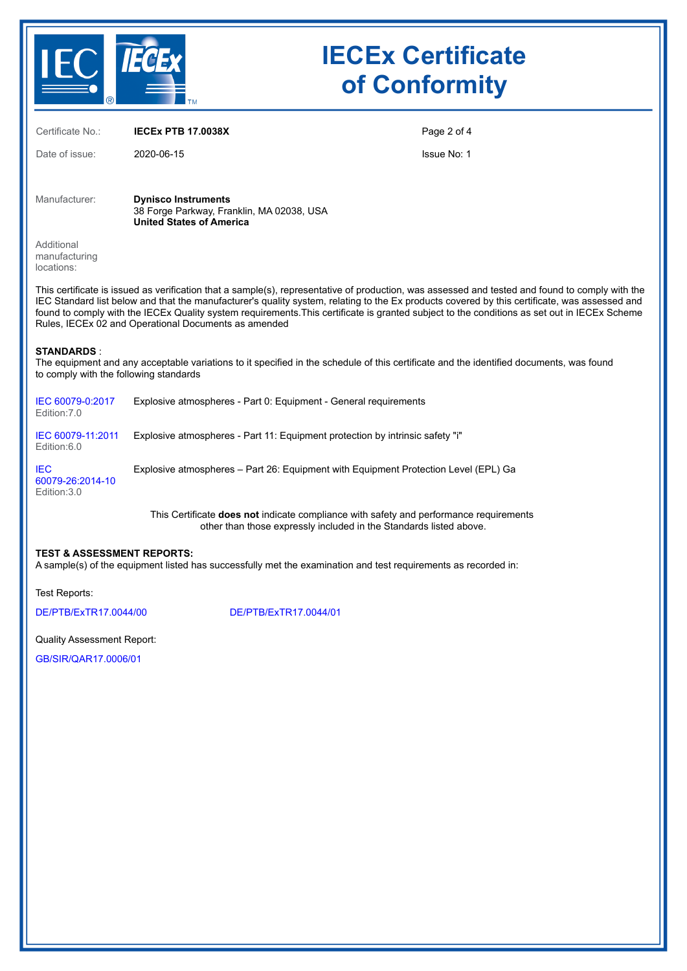

# **IECEx Certificate of Conformity**

Certificate No.: **IECEx PTB 17.0038X**

Date of issue: 2020-06-15

Page 2 of 4

Issue No: 1

Manufacturer: **Dynisco Instruments** 38 Forge Parkway, Franklin, MA 02038, USA **United States of America**

Additional manufacturing locations:

This certificate is issued as verification that a sample(s), representative of production, was assessed and tested and found to comply with the IEC Standard list below and that the manufacturer's quality system, relating to the Ex products covered by this certificate, was assessed and found to comply with the IECEx Quality system requirements.This certificate is granted subject to the conditions as set out in IECEx Scheme Rules, IECEx 02 and Operational Documents as amended

#### **STANDARDS** :

The equipment and any acceptable variations to it specified in the schedule of this certificate and the identified documents, was found to comply with the following standards

| IEC 60079-0:2017<br>Edition: 7.0               | Explosive atmospheres - Part 0: Equipment - General requirements                    |
|------------------------------------------------|-------------------------------------------------------------------------------------|
| IEC 60079-11:2011<br>Edition:6.0               | Explosive atmospheres - Part 11: Equipment protection by intrinsic safety "i"       |
| <b>IEC</b><br>60079-26:2014-10<br>Edition: 3.0 | Explosive atmospheres – Part 26: Equipment with Equipment Protection Level (EPL) Ga |

This Certificate **does not** indicate compliance with safety and performance requirements other than those expressly included in the Standards listed above.

#### **TEST & ASSESSMENT REPORTS:**

A sample(s) of the equipment listed has successfully met the examination and test requirements as recorded in:

Test Reports:

[DE/PTB/ExTR17.0044/00](https://www.iecex-certs.com/#/deliverables/REPORT/11926/view) [DE/PTB/ExTR17.0044/01](https://www.iecex-certs.com/#/deliverables/REPORT/66101/view)

Quality Assessment Report:

[GB/SIR/QAR17.0006/01](https://www.iecex-certs.com/#/deliverables/REPORT/54656/view)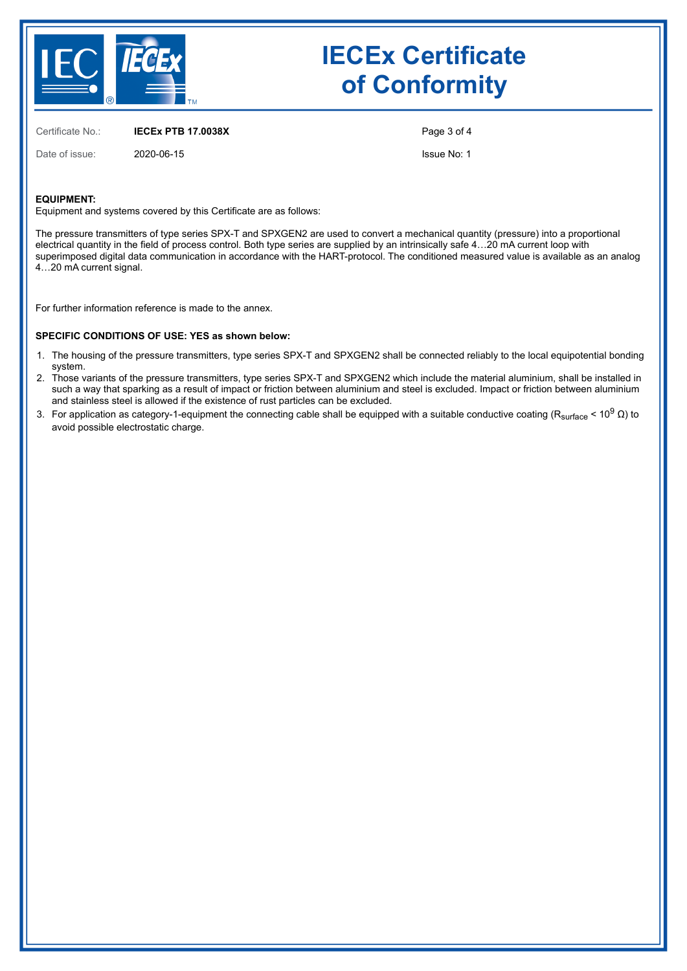

# **IECEx Certificate of Conformity**

Certificate No.: **IECEx PTB 17.0038X**

Date of issue: 2020-06-15

Issue No: 1

Page 3 of 4

#### **EQUIPMENT:**

Equipment and systems covered by this Certificate are as follows:

The pressure transmitters of type series SPX-T and SPXGEN2 are used to convert a mechanical quantity (pressure) into a proportional electrical quantity in the field of process control. Both type series are supplied by an intrinsically safe 4…20 mA current loop with superimposed digital data communication in accordance with the HART-protocol. The conditioned measured value is available as an analog 4…20 mA current signal.

For further information reference is made to the annex.

#### **SPECIFIC CONDITIONS OF USE: YES as shown below:**

- 1. The housing of the pressure transmitters, type series SPX-T and SPXGEN2 shall be connected reliably to the local equipotential bonding system.
- 2. Those variants of the pressure transmitters, type series SPX-T and SPXGEN2 which include the material aluminium, shall be installed in such a way that sparking as a result of impact or friction between aluminium and steel is excluded. Impact or friction between aluminium and stainless steel is allowed if the existence of rust particles can be excluded.
- 3. For application as category-1-equipment the connecting cable shall be equipped with a suitable conductive coating (R<sub>surface</sub> < 10<sup>9</sup> Ω) to avoid possible electrostatic charge.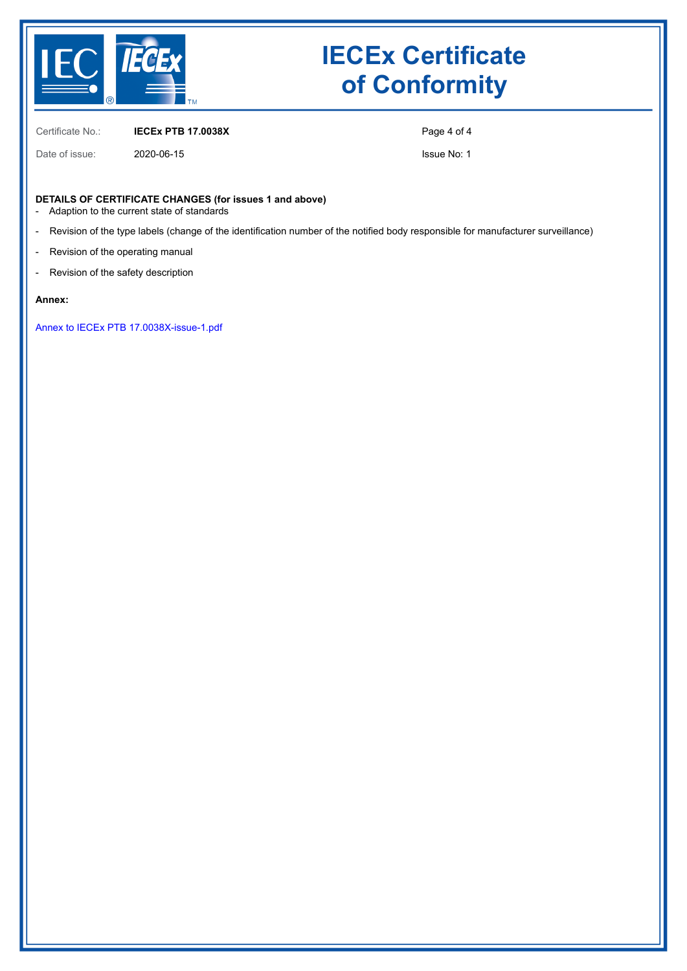

# **IECEx Certificate of Conformity**

Certificate No.: **IECEx PTB 17.0038X**

Date of issue: 2020-06-15

Page 4 of 4

Issue No: 1

#### **DETAILS OF CERTIFICATE CHANGES (for issues 1 and above)**

- Adaption to the current state of standards
- Revision of the type labels (change of the identification number of the notified body responsible for manufacturer surveillance)
- Revision of the operating manual
- Revision of the safety description

#### **Annex:**

[Annex to IECEx PTB 17.0038X-issue-1.pdf](https://www.iecex-certs.com/#/deliverables/CERT/48536/view)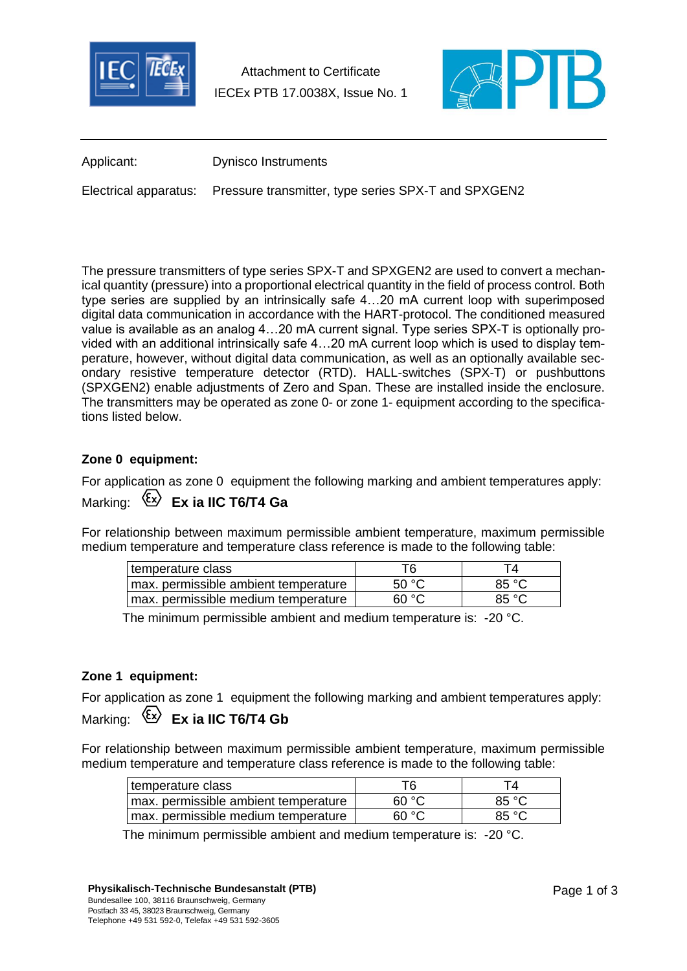

Attachment to Certificate IECEx PTB 17.0038X, Issue No. 1



Applicant: Dynisco Instruments

Electrical apparatus: Pressure transmitter, type series SPX-T and SPXGEN2

The pressure transmitters of type series SPX-T and SPXGEN2 are used to convert a mechanical quantity (pressure) into a proportional electrical quantity in the field of process control. Both type series are supplied by an intrinsically safe 4…20 mA current loop with superimposed digital data communication in accordance with the HART-protocol. The conditioned measured value is available as an analog 4…20 mA current signal. Type series SPX-T is optionally provided with an additional intrinsically safe 4…20 mA current loop which is used to display temperature, however, without digital data communication, as well as an optionally available secondary resistive temperature detector (RTD). HALL-switches (SPX-T) or pushbuttons (SPXGEN2) enable adjustments of Zero and Span. These are installed inside the enclosure. The transmitters may be operated as zone 0- or zone 1- equipment according to the specifications listed below.

### **Zone 0 equipment:**

For application as zone 0 equipment the following marking and ambient temperatures apply:

# Marking: **Ex ia IIC T6/T4 Ga**

For relationship between maximum permissible ambient temperature, maximum permissible medium temperature and temperature class reference is made to the following table:

| temperature class                    | T6    | Τ4    |
|--------------------------------------|-------|-------|
| max. permissible ambient temperature | 50 °C | 85 °C |
| max. permissible medium temperature  | 60 °C | 85 °C |

The minimum permissible ambient and medium temperature is: -20 °C.

### **Zone 1 equipment:**

For application as zone 1 equipment the following marking and ambient temperatures apply: Marking:  $\langle \xi x \rangle$  **Ex ia IIC T6/T4 Gb** 

For relationship between maximum permissible ambient temperature, maximum permissible medium temperature and temperature class reference is made to the following table:

| temperature class                    | T6    |       |
|--------------------------------------|-------|-------|
| max. permissible ambient temperature | 60 °C | 85 °C |
| max. permissible medium temperature  | 60 °C | 85 °C |

The minimum permissible ambient and medium temperature is: -20 °C.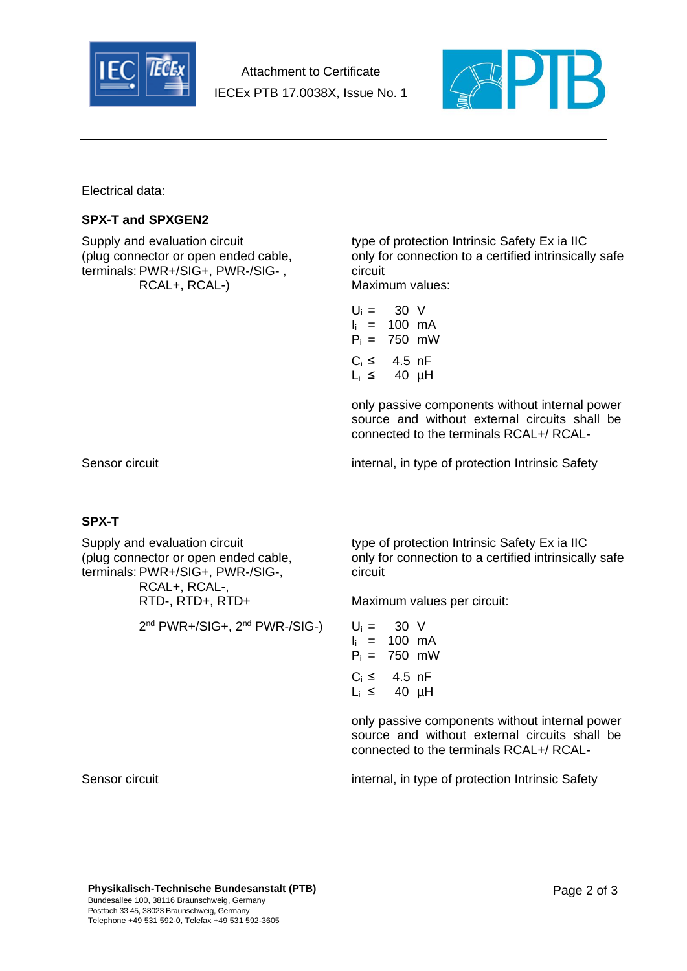

Attachment to Certificate IECEx PTB 17.0038X, Issue No. 1



Electrical data:

### **SPX-T and SPXGEN2**

terminals: PWR+/SIG+, PWR-/SIG-, circuit RCAL+, RCAL-) Maximum values:

Supply and evaluation circuit type of protection Intrinsic Safety Ex ia IIC (plug connector or open ended cable, only for connection to a certified intrinsically safe

| U⊨ =       | 30 V   |        |
|------------|--------|--------|
| li =       | 100 mA |        |
| $P_i =$    |        | 750 mW |
| $C_i \leq$ | 4.5 nF |        |
| Li ≤       |        | 40 µH  |

only passive components without internal power source and without external circuits shall be connected to the terminals RCAL+/ RCAL-

Sensor circuit internal, in type of protection Intrinsic Safety

## **SPX-T**

terminals: PWR+/SIG+, PWR-/SIG-, circuit RCAL+, RCAL-,

 $2^{nd}$  PWR+/SIG+,  $2^{nd}$  PWR-/SIG-)  $U_i = 30$  V

Supply and evaluation circuit type of protection Intrinsic Safety Ex ia IIC (plug connector or open ended cable, only for connection to a certified intrinsically safe

RTD-, RTD+, RTD+ Maximum values per circuit:

| Ui =             | - 30 V |        |
|------------------|--------|--------|
| li =             | 100 mA |        |
| $P_i =$          |        | 750 mW |
| $C_i \leq$       | 4.5 nF |        |
| L <sub>i</sub> ≤ |        | 40 µH  |

only passive components without internal power source and without external circuits shall be connected to the terminals RCAL+/ RCAL-

Sensor circuit internal, in type of protection Intrinsic Safety